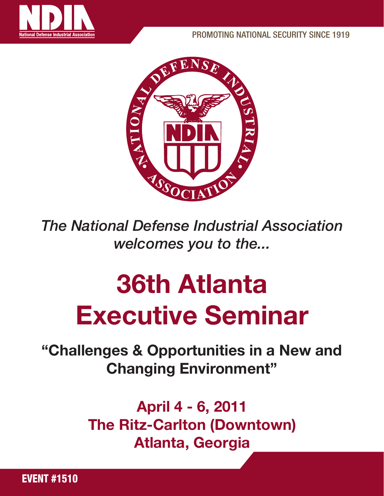



*The National Defense Industrial Association welcomes you to the...*

# 36th Atlanta Executive Seminar

"Challenges & Opportunities in a New and Changing Environment"

> April 4 - 6, 2011 The Ritz-Carlton (Downtown) Atlanta, Georgia

EVENT #1510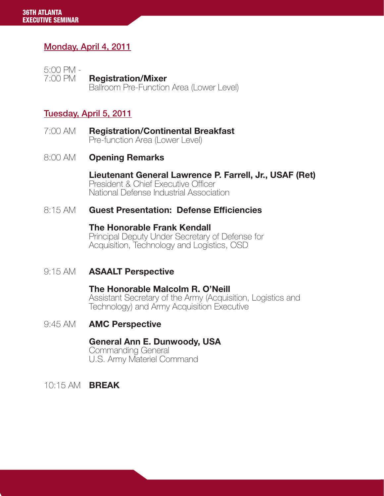### Monday, April 4, 2011

5:00 PM - 7:00 PM **Registration/Mixer**<br>Ballroom Pre-Function Area (Lower Level)

#### Tuesday, April 5, 2011

7:00 AM **Registration/Continental Breakfast** Pre-function Area (Lower Level)

#### 8:00 AM **Opening Remarks**

 Lieutenant General Lawrence P. Farrell, Jr., USAF (Ret) President & Chief Executive Officer National Defense Industrial Association

#### 8:15 AM Guest Presentation: Defense Efficiencies

**The Honorable Frank Kendall**<br>Principal Deputy Under Secretary of Defense for<br>Acquisition, Technology and Logistics, OSD

#### 9:15 AM **ASAALT Perspective**

**The Honorable Malcolm R. O'Neill**<br>Assistant Secretary of the Army (Acquisition, Logistics and Technology) and Army Acquisition Executive

#### 9:45 AM **AMC Perspective**

 General Ann E. Dunwoody, USA Commanding General U.S. Army Materiel Command

10:15 AM BREAK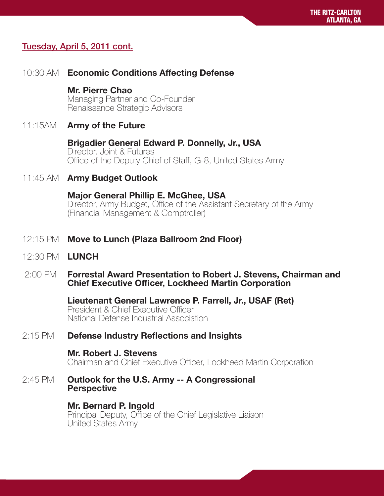#### Tuesday, April 5, 2011 cont.

#### 10:30 AM Economic Conditions Affecting Defense

**Mr. Pierre Chao**<br>Managing Partner and Co-Founder<br>Renaissance Strategic Advisors

#### 11:15AM Army of the Future

# **Brigadier General Edward P. Donnelly, Jr., USA**<br>Director, Joint & Futures

Office of the Deputy Chief of Staff, G-8, United States Army

#### 11:45 AM Army Budget Outlook

**Major General Phillip E. McGhee, USA**<br>Director, Army Budget, Office of the Assistant Secretary of the Army<br>(Financial Management & Comptroller)

#### 12:15 PM Move to Lunch (Plaza Ballroom 2nd Floor)

12:30 PM LUNCH

#### 2:00 PM Forrestal Award Presentation to Robert J. Stevens, Chairman and Chief Executive Officer, Lockheed Martin Corporation

 Lieutenant General Lawrence P. Farrell, Jr., USAF (Ret) President & Chief Executive Officer National Defense Industrial Association

#### 2:15 PM Defense Industry Reflections and Insights

#### Mr. Robert J. Stevens

Chairman and Chief Executive Officer, Lockheed Martin Corporation

2:45 PM Outlook for the U.S. Army -- A Congressional Perspective

#### Mr. Bernard P. Ingold

Principal Deputy, Office of the Chief Legislative Liaison United States Army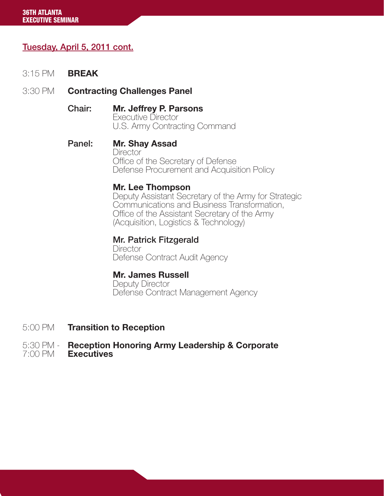#### Tuesday, April 5, 2011 cont.

- 3:15 PM BREAK
- 3:30 PM **Contracting Challenges Panel** 
	- **Chair: Mr. Jeffrey P. Parsons**<br>Executive Director<br>U.S. Army Contracting Command
	- Panel: Mr. Shay Assad **Director**  Office of the Secretary of Defense Defense Procurement and Acquisition Policy

#### Mr. Lee Thompson

 Deputy Assistant Secretary of the Army for Strategic Communications and Business Transformation, Office of the Assistant Secretary of the Army (Acquisition, Logistics & Technology)

# Mr. Patrick Fitzgerald

**Director** Defense Contract Audit Agency

#### Mr. James Russell

 Deputy Director Defense Contract Management Agency

5:00 PM Transition to Reception

#### 5:30 PM - Reception Honoring Army Leadership & Corporate 7:00 PM Executives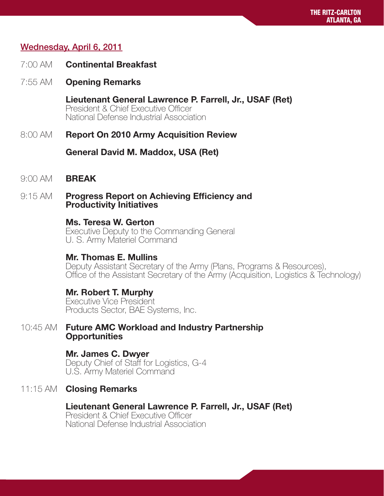#### Wednesday, April 6, 2011

- 7:00 AM Continental Breakfast
- 7:55 AM Opening Remarks

Lieutenant General Lawrence P. Farrell, Jr., USAF (Ret)<br>President & Chief Executive Officer National Defense Industrial Association

8:00 AM Report On 2010 Army Acquisition Review

General David M. Maddox, USA (Ret)

- 9:00 AM **BREAK**
- 9:15 AM Progress Report on Achieving Efficiency and Productivity Initiatives

#### Ms. Teresa W. Gerton

 Executive Deputy to the Commanding General U. S. Army Materiel Command

#### Mr. Thomas E. Mullins

 Deputy Assistant Secretary of the Army (Plans, Programs & Resources), Office of the Assistant Secretary of the Army (Acquisition, Logistics & Technology)

#### Mr. Robert T. Murphy

 Executive Vice President Products Sector, BAE Systems, Inc.

10:45 AM Future AMC Workload and Industry Partnership **Opportunities** 

> Mr. James C. Dwyer Deputy Chief of Staff for Logistics, G-4 U.S. Army Materiel Command

#### 11:15 AM **Closing Remarks**

#### Lieutenant General Lawrence P. Farrell, Jr., USAF (Ret)

 President & Chief Executive Officer National Defense Industrial Association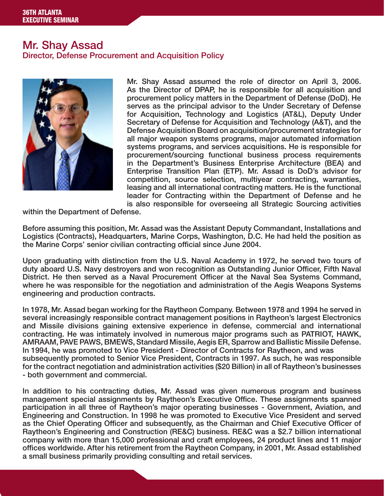#### Mr. Shay Assad Director, Defense Procurement and Acquisition Policy



Mr. Shay Assad assumed the role of director on April 3, 2006. As the Director of DPAP, he is responsible for all acquisition and procurement policy matters in the Department of Defense (DoD). He serves as the principal advisor to the Under Secretary of Defense for Acquisition, Technology and Logistics (AT&L), Deputy Under Secretary of Defense for Acquisition and Technology (A&T), and the Defense Acquisition Board on acquisition/procurement strategies for all major weapon systems programs, major automated information systems programs, and services acquisitions. He is responsible for procurement/sourcing functional business process requirements in the Department's Business Enterprise Architecture (BEA) and Enterprise Transition Plan (ETP). Mr. Assad is DoD's advisor for competition, source selection, multiyear contracting, warranties, leasing and all international contracting matters. He is the functional leader for Contracting within the Department of Defense and he is also responsible for overseeing all Strategic Sourcing activities

within the Department of Defense.

Before assuming this position, Mr. Assad was the Assistant Deputy Commandant, Installations and Logistics (Contracts), Headquarters, Marine Corps, Washington, D.C. He had held the position as the Marine Corps' senior civilian contracting official since June 2004.

Upon graduating with distinction from the U.S. Naval Academy in 1972, he served two tours of duty aboard U.S. Navy destroyers and won recognition as Outstanding Junior Officer, Fifth Naval District. He then served as a Naval Procurement Officer at the Naval Sea Systems Command, where he was responsible for the negotiation and administration of the Aegis Weapons Systems engineering and production contracts.

In 1978, Mr. Assad began working for the Raytheon Company. Between 1978 and 1994 he served in several increasingly responsible contract management positions in Raytheon's largest Electronics and Missile divisions gaining extensive experience in defense, commercial and international contracting. He was intimately involved in numerous major programs such as PATRIOT, HAWK, AMRAAM, PAVE PAWS, BMEWS, Standard Missile, Aegis ER, Sparrow and Ballistic Missile Defense. In 1994, he was promoted to Vice President - Director of Contracts for Raytheon, and was subsequently promoted to Senior Vice President, Contracts in 1997. As such, he was responsible for the contract negotiation and administration activities (\$20 Billion) in all of Raytheon's businesses - both government and commercial.

In addition to his contracting duties, Mr. Assad was given numerous program and business management special assignments by Raytheon's Executive Office. These assignments spanned participation in all three of Raytheon's major operating businesses - Government, Aviation, and Engineering and Construction. In 1998 he was promoted to Executive Vice President and served as the Chief Operating Officer and subsequently, as the Chairman and Chief Executive Officer of Raytheon's Engineering and Construction (RE&C) business. RE&C was a \$2.7 billion international company with more than 15,000 professional and craft employees, 24 product lines and 11 major offices worldwide. After his retirement from the Raytheon Company, in 2001, Mr. Assad established a small business primarily providing consulting and retail services.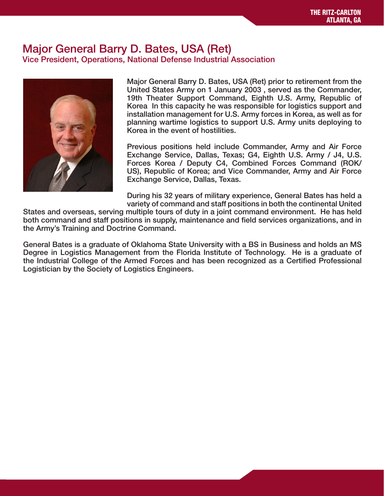#### Major General Barry D. Bates, USA (Ret) Vice President, Operations, National Defense Industrial Association



Major General Barry D. Bates, USA (Ret) prior to retirement from the United States Army on 1 January 2003 , served as the Commander, 19th Theater Support Command, Eighth U.S. Army, Republic of Korea In this capacity he was responsible for logistics support and installation management for U.S. Army forces in Korea, as well as for planning wartime logistics to support U.S. Army units deploying to Korea in the event of hostilities.

Previous positions held include Commander, Army and Air Force Exchange Service, Dallas, Texas; G4, Eighth U.S. Army / J4, U.S. Forces Korea / Deputy C4, Combined Forces Command (ROK/ US), Republic of Korea; and Vice Commander, Army and Air Force Exchange Service, Dallas, Texas.

During his 32 years of military experience, General Bates has held a variety of command and staff positions in both the continental United

States and overseas, serving multiple tours of duty in a joint command environment. He has held both command and staff positions in supply, maintenance and field services organizations, and in the Army's Training and Doctrine Command.

General Bates is a graduate of Oklahoma State University with a BS in Business and holds an MS Degree in Logistics Management from the Florida Institute of Technology. He is a graduate of the Industrial College of the Armed Forces and has been recognized as a Certified Professional Logistician by the Society of Logistics Engineers.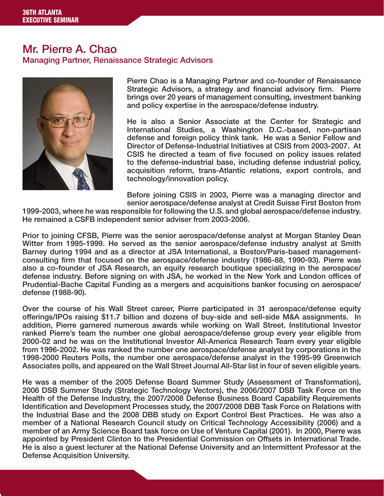#### Mr. Pierre A. Chao Managing Partner, Renaissance Strategic Advisors



Pierre Chao is a Managing Partner and co-founder of Renaissance Strategic Advisors, a strategy and financial advisory firm. Pierre brings over 20 years of management consulting, investment banking and policy expertise in the aerospace/defense industry.

He is also a Senior Associate at the Center for Strategic and International Studies, a Washington D.C.-based, non-partisan defense and foreign policy think tank. He was a Senior Fellow and Director of Defense-Industrial Initiatives at CSIS from 2003-2007. At CSIS he directed a team of five focused on policy issues related to the defense-industrial base, including defense industrial policy, acquisition reform, trans-Atlantic relations, export controls, and technology/innovation policy.

Before joining CSIS in 2003, Pierre was a managing director and senior aerospace/defense analyst at Credit Suisse First Boston from

1999-2003, where he was responsible for following the U.S. and global aerospace/defense industry. He remained a CSFB independent senior adviser from 2003-2006.

Prior to joining CFSB, Pierre was the senior aerospace/defense analyst at Morgan Stanley Dean Witter from 1995-1999. He served as the senior aerospace/defense industry analyst at Smith Barney during 1994 and as a director at JSA International, a Boston/Paris-based managementconsulting firm that focused on the aerospace/defense industry (1986-88, 1990-93). Pierre was also a co-founder of JSA Research, an equity research boutique specializing in the aerospace/ defense industry. Before signing on with JSA, he worked in the New York and London offices of Prudential-Bache Capital Funding as a mergers and acquisitions banker focusing on aerospace/ defense (1988-90).

Over the course of his Wall Street career, Pierre participated in 31 aerospace/defense equity offerings/IPOs raising \$11.7 billion and dozens of buy-side and sell-side M&A assignments. In addition, Pierre garnered numerous awards while working on Wall Street. Institutional Investor ranked Pierre's team the number one global aerospace/defense group every year eligible from 2000-02 and he was on the Institutional Investor All-America Research Team every year eligible from 1996-2002. He was ranked the number one aerospace/defense analyst by corporations in the 1998-2000 Reuters Polls, the number one aerospace/defense analyst in the 1995-99 Greenwich Associates polls, and appeared on the Wall Street Journal All-Star list in four of seven eligible years.

He was a member of the 2005 Defense Board Summer Study (Assessment of Transformation), 2006 DSB Summer Study (Strategic Technology Vectors), the 2006/2007 DSB Task Force on the Health of the Defense Industry, the 2007/2008 Defense Business Board Capability Requirements Identification and Development Processes study, the 2007/2008 DBB Task Force on Relations with the Industrial Base and the 2008 DBB study on Export Control Best Practices. He was also a member of a National Research Council study on Critical Technology Accessibility (2006) and a member of an Army Science Board task force on Use of Venture Capital (2001). In 2000, Pierre was appointed by President Clinton to the Presidential Commission on Offsets in International Trade. He is also a guest lecturer at the National Defense University and an Intermittent Professor at the Defense Acquisition University.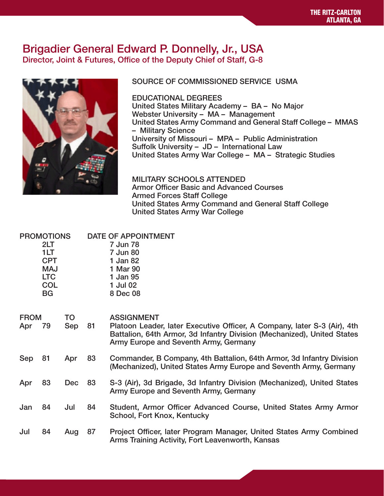#### Brigadier General Edward P. Donnelly, Jr., USA Director, Joint & Futures, Office of the Deputy Chief of Staff, G-8



#### SOURCE OF COMMISSIONED SERVICE USMA

EDUCATIONAL DEGREES United States Military Academy – BA – No Major Webster University – MA – Management United States Army Command and General Staff College – MMAS – Military Science University of Missouri – MPA – Public Administration Suffolk University – JD – International Law United States Army War College – MA – Strategic Studies

MILITARY SCHOOLS ATTENDED Armor Officer Basic and Advanced Courses Armed Forces Staff College United States Army Command and General Staff College United States Army War College

|                    | <b>PROMOTIONS</b><br>2LT<br>1LT<br><b>CPT</b><br><b>MAJ</b><br><b>LTC</b><br><b>COL</b><br><b>BG</b> |            |    | <b>DATE OF APPOINTMENT</b><br>7 Jun 78<br>7 Jun 80<br>1 Jan 82<br>1 Mar 90<br>1 Jan 95<br>1 Jul 02<br>8 Dec 08                                                                                                    |
|--------------------|------------------------------------------------------------------------------------------------------|------------|----|-------------------------------------------------------------------------------------------------------------------------------------------------------------------------------------------------------------------|
| <b>FROM</b><br>Apr | 79                                                                                                   | TO<br>Sep  | 81 | <b>ASSIGNMENT</b><br>Platoon Leader, later Executive Officer, A Company, later S-3 (Air), 4th<br>Battalion, 64th Armor, 3d Infantry Division (Mechanized), United States<br>Army Europe and Seventh Army, Germany |
| Sep                | 81                                                                                                   | Apr        | 83 | Commander, B Company, 4th Battalion, 64th Armor, 3d Infantry Division<br>(Mechanized), United States Army Europe and Seventh Army, Germany                                                                        |
| Apr                | 83                                                                                                   | <b>Dec</b> | 83 | S-3 (Air), 3d Brigade, 3d Infantry Division (Mechanized), United States<br>Army Europe and Seventh Army, Germany                                                                                                  |
| Jan                | 84                                                                                                   | Jul        | 84 | Student, Armor Officer Advanced Course, United States Army Armor<br>School, Fort Knox, Kentucky                                                                                                                   |
| Jul                | 84                                                                                                   | Aug        | 87 | Project Officer, later Program Manager, United States Army Combined<br>Arms Training Activity, Fort Leavenworth, Kansas                                                                                           |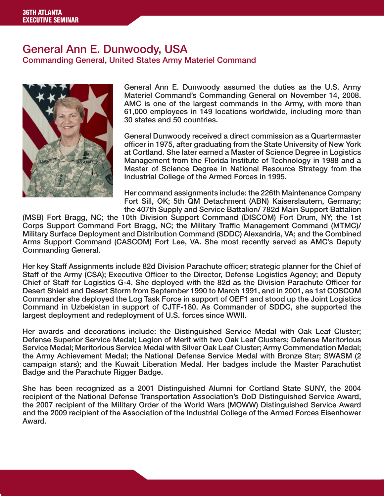# General Ann E. Dunwoody, USA

Commanding General, United States Army Materiel Command



General Ann E. Dunwoody assumed the duties as the U.S. Army Materiel Command's Commanding General on November 14, 2008. AMC is one of the largest commands in the Army, with more than 61,000 employees in 149 locations worldwide, including more than 30 states and 50 countries.

General Dunwoody received a direct commission as a Quartermaster officer in 1975, after graduating from the State University of New York at Cortland. She later earned a Master of Science Degree in Logistics Management from the Florida Institute of Technology in 1988 and a Master of Science Degree in National Resource Strategy from the Industrial College of the Armed Forces in 1995.

Her command assignments include: the 226th Maintenance Company Fort Sill, OK; 5th QM Detachment (ABN) Kaiserslautern, Germany; the 407th Supply and Service Battalion/ 782d Main Support Battalion

(MSB) Fort Bragg, NC; the 10th Division Support Command (DISCOM) Fort Drum, NY; the 1st Corps Support Command Fort Bragg, NC; the Military Traffic Management Command (MTMC)/ Military Surface Deployment and Distribution Command (SDDC) Alexandria, VA; and the Combined Arms Support Command (CASCOM) Fort Lee, VA. She most recently served as AMC's Deputy Commanding General.

Her key Staff Assignments include 82d Division Parachute officer; strategic planner for the Chief of Staff of the Army (CSA); Executive Officer to the Director, Defense Logistics Agency; and Deputy Chief of Staff for Logistics G-4. She deployed with the 82d as the Division Parachute Officer for Desert Shield and Desert Storm from September 1990 to March 1991, and in 2001, as 1st COSCOM Commander she deployed the Log Task Force in support of OEF1 and stood up the Joint Logistics Command in Uzbekistan in support of CJTF-180. As Commander of SDDC, she supported the largest deployment and redeployment of U.S. forces since WWII.

Her awards and decorations include: the Distinguished Service Medal with Oak Leaf Cluster; Defense Superior Service Medal; Legion of Merit with two Oak Leaf Clusters; Defense Meritorious Service Medal; Meritorious Service Medal with Silver Oak Leaf Cluster; Army Commendation Medal; the Army Achievement Medal; the National Defense Service Medal with Bronze Star; SWASM (2 campaign stars); and the Kuwait Liberation Medal. Her badges include the Master Parachutist Badge and the Parachute Rigger Badge.

She has been recognized as a 2001 Distinguished Alumni for Cortland State SUNY, the 2004 recipient of the National Defense Transportation Association's DoD Distinguished Service Award, the 2007 recipient of the Military Order of the World Wars (MOWW) Distinguished Service Award and the 2009 recipient of the Association of the Industrial College of the Armed Forces Eisenhower Award.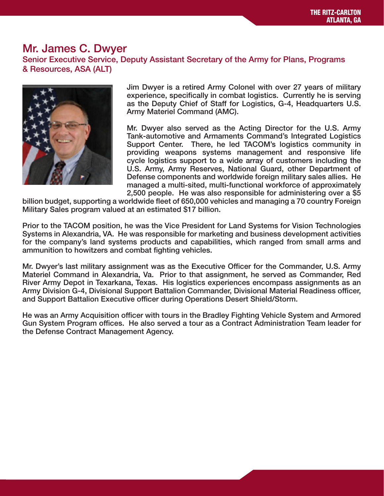#### Mr. James C. Dwyer Senior Executive Service, Deputy Assistant Secretary of the Army for Plans, Programs & Resources, ASA (ALT)



Jim Dwyer is a retired Army Colonel with over 27 years of military experience, specifically in combat logistics. Currently he is serving as the Deputy Chief of Staff for Logistics, G-4, Headquarters U.S. Army Materiel Command (AMC).

Mr. Dwyer also served as the Acting Director for the U.S. Army Tank-automotive and Armaments Command's Integrated Logistics Support Center. There, he led TACOM's logistics community in providing weapons systems management and responsive life cycle logistics support to a wide array of customers including the U.S. Army, Army Reserves, National Guard, other Department of Defense components and worldwide foreign military sales allies. He managed a multi-sited, multi-functional workforce of approximately 2,500 people. He was also responsible for administering over a \$5

billion budget, supporting a worldwide fleet of 650,000 vehicles and managing a 70 country Foreign Military Sales program valued at an estimated \$17 billion.

Prior to the TACOM position, he was the Vice President for Land Systems for Vision Technologies Systems in Alexandria, VA. He was responsible for marketing and business development activities for the company's land systems products and capabilities, which ranged from small arms and ammunition to howitzers and combat fighting vehicles.

Mr. Dwyer's last military assignment was as the Executive Officer for the Commander, U.S. Army Materiel Command in Alexandria, Va. Prior to that assignment, he served as Commander, Red River Army Depot in Texarkana, Texas. His logistics experiences encompass assignments as an Army Division G-4, Divisional Support Battalion Commander, Divisional Material Readiness officer, and Support Battalion Executive officer during Operations Desert Shield/Storm.

He was an Army Acquisition officer with tours in the Bradley Fighting Vehicle System and Armored Gun System Program offices. He also served a tour as a Contract Administration Team leader for the Defense Contract Management Agency.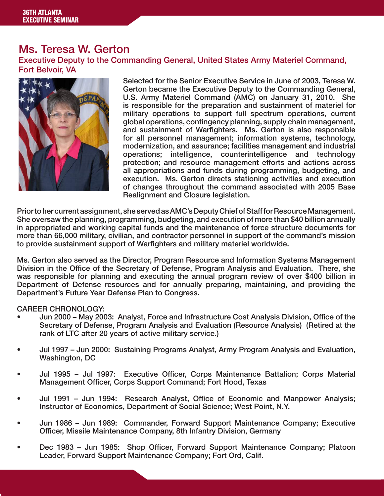## Ms. Teresa W. Gerton

Executive Deputy to the Commanding General, United States Army Materiel Command, Fort Belvoir, VA



Selected for the Senior Executive Service in June of 2003, Teresa W. Gerton became the Executive Deputy to the Commanding General, U.S. Army Materiel Command (AMC) on January 31, 2010. She is responsible for the preparation and sustainment of materiel for military operations to support full spectrum operations, current global operations, contingency planning, supply chain management, and sustainment of Warfighters. Ms. Gerton is also responsible for all personnel management; information systems, technology, modernization, and assurance; facilities management and industrial operations; intelligence, counterintelligence and technology protection; and resource management efforts and actions across all appropriations and funds during programming, budgeting, and execution. Ms. Gerton directs stationing activities and execution of changes throughout the command associated with 2005 Base Realignment and Closure legislation.

Prior to her current assignment, she served as AMC's Deputy Chief of Staff for Resource Management. She oversaw the planning, programming, budgeting, and execution of more than \$40 billion annually in appropriated and working capital funds and the maintenance of force structure documents for more than 66,000 military, civilian, and contractor personnel in support of the command's mission to provide sustainment support of Warfighters and military materiel worldwide.

Ms. Gerton also served as the Director, Program Resource and Information Systems Management Division in the Office of the Secretary of Defense, Program Analysis and Evaluation. There, she was responsible for planning and executing the annual program review of over \$400 billion in Department of Defense resources and for annually preparing, maintaining, and providing the Department's Future Year Defense Plan to Congress.

#### CAREER CHRONOLOGY:

- Jun 2000 May 2003: Analyst, Force and Infrastructure Cost Analysis Division, Office of the Secretary of Defense, Program Analysis and Evaluation (Resource Analysis) (Retired at the rank of LTC after 20 years of active military service.)
- Jul 1997 Jun 2000: Sustaining Programs Analyst, Army Program Analysis and Evaluation, Washington, DC
- Jul 1995 Jul 1997: Executive Officer, Corps Maintenance Battalion; Corps Material Management Officer, Corps Support Command; Fort Hood, Texas
- Jul 1991 Jun 1994: Research Analyst, Office of Economic and Manpower Analysis; Instructor of Economics, Department of Social Science; West Point, N.Y.
- Jun 1986 Jun 1989: Commander, Forward Support Maintenance Company; Executive Officer, Missile Maintenance Company, 8th Infantry Division, Germany
- Dec 1983 Jun 1985: Shop Officer, Forward Support Maintenance Company; Platoon Leader, Forward Support Maintenance Company; Fort Ord, Calif.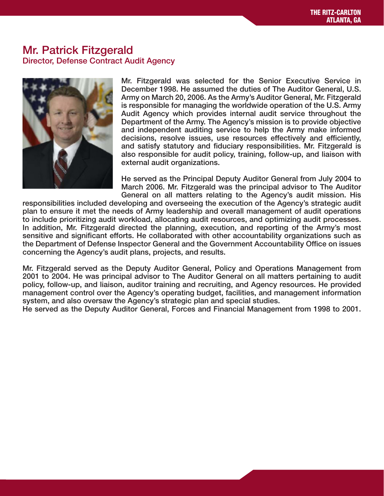#### Mr. Patrick Fitzgerald Director, Defense Contract Audit Agency



Mr. Fitzgerald was selected for the Senior Executive Service in December 1998. He assumed the duties of The Auditor General, U.S. Army on March 20, 2006. As the Army's Auditor General, Mr. Fitzgerald is responsible for managing the worldwide operation of the U.S. Army Audit Agency which provides internal audit service throughout the Department of the Army. The Agency's mission is to provide objective and independent auditing service to help the Army make informed decisions, resolve issues, use resources effectively and efficiently, and satisfy statutory and fiduciary responsibilities. Mr. Fitzgerald is also responsible for audit policy, training, follow-up, and liaison with external audit organizations.

He served as the Principal Deputy Auditor General from July 2004 to March 2006. Mr. Fitzgerald was the principal advisor to The Auditor General on all matters relating to the Agency's audit mission. His

responsibilities included developing and overseeing the execution of the Agency's strategic audit plan to ensure it met the needs of Army leadership and overall management of audit operations to include prioritizing audit workload, allocating audit resources, and optimizing audit processes. In addition, Mr. Fitzgerald directed the planning, execution, and reporting of the Army's most sensitive and significant efforts. He collaborated with other accountability organizations such as the Department of Defense Inspector General and the Government Accountability Office on issues concerning the Agency's audit plans, projects, and results.

Mr. Fitzgerald served as the Deputy Auditor General, Policy and Operations Management from 2001 to 2004. He was principal advisor to The Auditor General on all matters pertaining to audit policy, follow-up, and liaison, auditor training and recruiting, and Agency resources. He provided management control over the Agency's operating budget, facilities, and management information system, and also oversaw the Agency's strategic plan and special studies.

He served as the Deputy Auditor General, Forces and Financial Management from 1998 to 2001.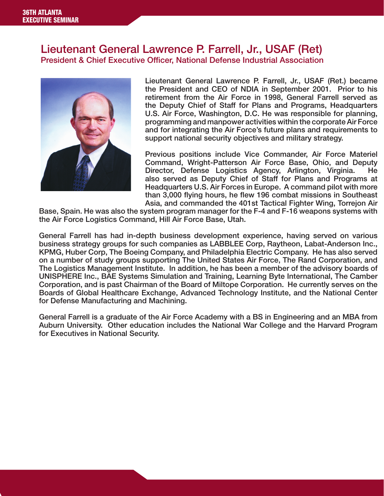#### Lieutenant General Lawrence P. Farrell, Jr., USAF (Ret) President & Chief Executive Officer, National Defense Industrial Association



Lieutenant General Lawrence P. Farrell, Jr., USAF (Ret.) became the President and CEO of NDIA in September 2001. Prior to his retirement from the Air Force in 1998, General Farrell served as the Deputy Chief of Staff for Plans and Programs, Headquarters U.S. Air Force, Washington, D.C. He was responsible for planning, programming and manpower activities within the corporate Air Force and for integrating the Air Force's future plans and requirements to support national security objectives and military strategy.

Previous positions include Vice Commander, Air Force Materiel Command, Wright-Patterson Air Force Base, Ohio, and Deputy Director, Defense Logistics Agency, Arlington, Virginia. He also served as Deputy Chief of Staff for Plans and Programs at Headquarters U.S. Air Forces in Europe. A command pilot with more than 3,000 flying hours, he flew 196 combat missions in Southeast Asia, and commanded the 401st Tactical Fighter Wing, Torrejon Air

Base, Spain. He was also the system program manager for the F-4 and F-16 weapons systems with the Air Force Logistics Command, Hill Air Force Base, Utah.

General Farrell has had in-depth business development experience, having served on various business strategy groups for such companies as LABBLEE Corp, Raytheon, Labat-Anderson Inc., KPMG, Huber Corp, The Boeing Company, and Philadelphia Electric Company. He has also served on a number of study groups supporting The United States Air Force, The Rand Corporation, and The Logistics Management Institute. In addition, he has been a member of the advisory boards of UNISPHERE Inc., BAE Systems Simulation and Training, Learning Byte International, The Camber Corporation, and is past Chairman of the Board of Miltope Corporation. He currently serves on the Boards of Global Healthcare Exchange, Advanced Technology Institute, and the National Center for Defense Manufacturing and Machining.

General Farrell is a graduate of the Air Force Academy with a BS in Engineering and an MBA from Auburn University. Other education includes the National War College and the Harvard Program for Executives in National Security.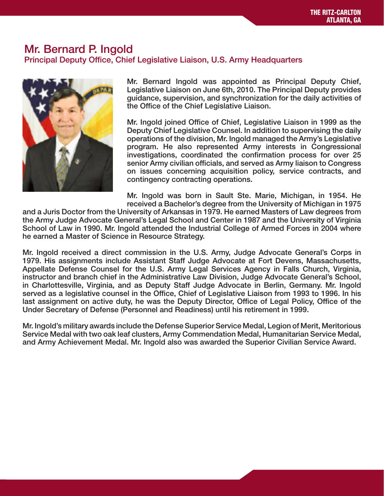#### Mr. Bernard P. Ingold Principal Deputy Office, Chief Legislative Liaison, U.S. Army Headquarters



Mr. Bernard Ingold was appointed as Principal Deputy Chief, Legislative Liaison on June 6th, 2010. The Principal Deputy provides guidance, supervision, and synchronization for the daily activities of the Office of the Chief Legislative Liaison.

Mr. Ingold joined Office of Chief, Legislative Liaison in 1999 as the Deputy Chief Legislative Counsel. In addition to supervising the daily operations of the division, Mr. Ingold managed the Army's Legislative program. He also represented Army interests in Congressional investigations, coordinated the confirmation process for over 25 senior Army civilian officials, and served as Army liaison to Congress on issues concerning acquisition policy, service contracts, and contingency contracting operations.

Mr. Ingold was born in Sault Ste. Marie, Michigan, in 1954. He received a Bachelor's degree from the University of Michigan in 1975

and a Juris Doctor from the University of Arkansas in 1979. He earned Masters of Law degrees from the Army Judge Advocate General's Legal School and Center in 1987 and the University of Virginia School of Law in 1990. Mr. Ingold attended the Industrial College of Armed Forces in 2004 where he earned a Master of Science in Resource Strategy.

Mr. Ingold received a direct commission in the U.S. Army, Judge Advocate General's Corps in 1979. His assignments include Assistant Staff Judge Advocate at Fort Devens, Massachusetts, Appellate Defense Counsel for the U.S. Army Legal Services Agency in Falls Church, Virginia, instructor and branch chief in the Administrative Law Division, Judge Advocate General's School, in Charlottesville, Virginia, and as Deputy Staff Judge Advocate in Berlin, Germany. Mr. Ingold served as a legislative counsel in the Office, Chief of Legislative Liaison from 1993 to 1996. In his last assignment on active duty, he was the Deputy Director, Office of Legal Policy, Office of the Under Secretary of Defense (Personnel and Readiness) until his retirement in 1999.

Mr. Ingold's military awards include the Defense Superior Service Medal, Legion of Merit, Meritorious Service Medal with two oak leaf clusters, Army Commendation Medal, Humanitarian Service Medal, and Army Achievement Medal. Mr. Ingold also was awarded the Superior Civilian Service Award.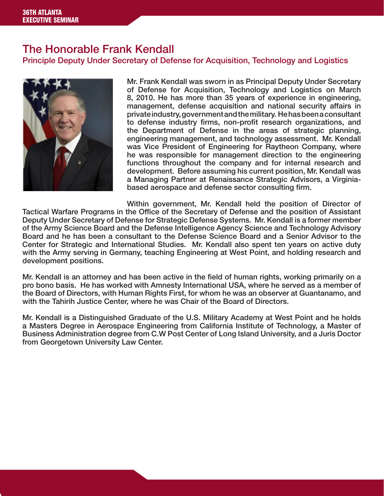## The Honorable Frank Kendall

Principle Deputy Under Secretary of Defense for Acquisition, Technology and Logistics



Mr. Frank Kendall was sworn in as Principal Deputy Under Secretary of Defense for Acquisition, Technology and Logistics on March 8, 2010. He has more than 35 years of experience in engineering, management, defense acquisition and national security affairs in private industry, government and the military. He has been a consultant to defense industry firms, non-profit research organizations, and the Department of Defense in the areas of strategic planning, engineering management, and technology assessment. Mr. Kendall was Vice President of Engineering for Raytheon Company, where he was responsible for management direction to the engineering functions throughout the company and for internal research and development. Before assuming his current position, Mr. Kendall was a Managing Partner at Renaissance Strategic Advisors, a Virginiabased aerospace and defense sector consulting firm.

Within government, Mr. Kendall held the position of Director of Tactical Warfare Programs in the Office of the Secretary of Defense and the position of Assistant Deputy Under Secretary of Defense for Strategic Defense Systems. Mr. Kendall is a former member of the Army Science Board and the Defense Intelligence Agency Science and Technology Advisory Board and he has been a consultant to the Defense Science Board and a Senior Advisor to the Center for Strategic and International Studies. Mr. Kendall also spent ten years on active duty with the Army serving in Germany, teaching Engineering at West Point, and holding research and development positions.

Mr. Kendall is an attorney and has been active in the field of human rights, working primarily on a pro bono basis. He has worked with Amnesty International USA, where he served as a member of the Board of Directors, with Human Rights First, for whom he was an observer at Guantanamo, and with the Tahirih Justice Center, where he was Chair of the Board of Directors.

Mr. Kendall is a Distinguished Graduate of the U.S. Military Academy at West Point and he holds a Masters Degree in Aerospace Engineering from California Institute of Technology, a Master of Business Administration degree from C.W Post Center of Long Island University, and a Juris Doctor from Georgetown University Law Center.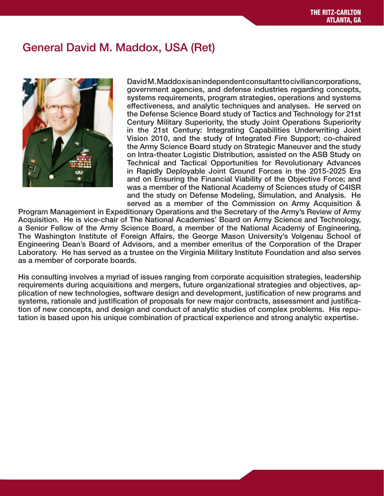# General David M. Maddox, USA (Ret)



David M. Maddox is an independent consultant to civilian corporations, government agencies, and defense industries regarding concepts, systems requirements, program strategies, operations and systems effectiveness, and analytic techniques and analyses. He served on the Defense Science Board study of Tactics and Technology for 21st Century Military Superiority, the study Joint Operations Superiority in the 21st Century: Integrating Capabilities Underwriting Joint Vision 2010, and the study of Integrated Fire Support; co-chaired the Army Science Board study on Strategic Maneuver and the study on Intra-theater Logistic Distribution, assisted on the ASB Study on Technical and Tactical Opportunities for Revolutionary Advances in Rapidly Deployable Joint Ground Forces in the 2015-2025 Era and on Ensuring the Financial Viability of the Objective Force; and was a member of the National Academy of Sciences study of C4ISR and the study on Defense Modeling, Simulation, and Analysis. He served as a member of the Commission on Army Acquisition &

Program Management in Expeditionary Operations and the Secretary of the Army's Review of Army Acquisition. He is vice-chair of The National Academies' Board on Army Science and Technology, a Senior Fellow of the Army Science Board, a member of the National Academy of Engineering, The Washington Institute of Foreign Affairs, the George Mason University's Volgenau School of Engineering Dean's Board of Advisors, and a member emeritus of the Corporation of the Draper Laboratory. He has served as a trustee on the Virginia Military Institute Foundation and also serves as a member of corporate boards.

His consulting involves a myriad of issues ranging from corporate acquisition strategies, leadership requirements during acquisitions and mergers, future organizational strategies and objectives, application of new technologies, software design and development, justification of new programs and systems, rationale and justification of proposals for new major contracts, assessment and justification of new concepts, and design and conduct of analytic studies of complex problems. His reputation is based upon his unique combination of practical experience and strong analytic expertise.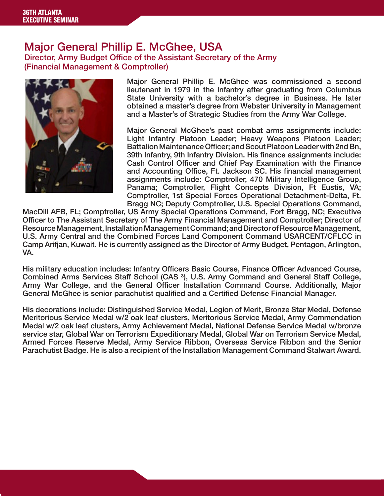#### Major General Phillip E. McGhee, USA Director, Army Budget Office of the Assistant Secretary of the Army

(Financial Management & Comptroller)



Major General Phillip E. McGhee was commissioned a second lieutenant in 1979 in the Infantry after graduating from Columbus State University with a bachelor's degree in Business. He later obtained a master's degree from Webster University in Management and a Master's of Strategic Studies from the Army War College.

Major General McGhee's past combat arms assignments include: Light Infantry Platoon Leader; Heavy Weapons Platoon Leader; Battalion Maintenance Officer; and Scout Platoon Leader with 2nd Bn, 39th Infantry, 9th Infantry Division. His finance assignments include: Cash Control Officer and Chief Pay Examination with the Finance and Accounting Office, Ft. Jackson SC. His financial management assignments include: Comptroller, 470 Military Intelligence Group, Panama; Comptroller, Flight Concepts Division, Ft Eustis, VA; Comptroller, 1st Special Forces Operational Detachment-Delta, Ft. Bragg NC; Deputy Comptroller, U.S. Special Operations Command,

MacDill AFB, FL; Comptroller, US Army Special Operations Command, Fort Bragg, NC; Executive Officer to The Assistant Secretary of The Army Financial Management and Comptroller; Director of Resource Management, Installation Management Command; and Director of Resource Management, U.S. Army Central and the Combined Forces Land Component Command USARCENT/CFLCC in Camp Arifjan, Kuwait. He is currently assigned as the Director of Army Budget, Pentagon, Arlington, VA.

His military education includes: Infantry Officers Basic Course, Finance Officer Advanced Course, Combined Arms Services Staff School (CAS ³), U.S. Army Command and General Staff College, Army War College, and the General Officer Installation Command Course. Additionally, Major General McGhee is senior parachutist qualified and a Certified Defense Financial Manager.

His decorations include: Distinguished Service Medal, Legion of Merit, Bronze Star Medal, Defense Meritorious Service Medal w/2 oak leaf clusters, Meritorious Service Medal, Army Commendation Medal w/2 oak leaf clusters, Army Achievement Medal, National Defense Service Medal w/bronze service star, Global War on Terrorism Expeditionary Medal, Global War on Terrorism Service Medal, Armed Forces Reserve Medal, Army Service Ribbon, Overseas Service Ribbon and the Senior Parachutist Badge. He is also a recipient of the Installation Management Command Stalwart Award.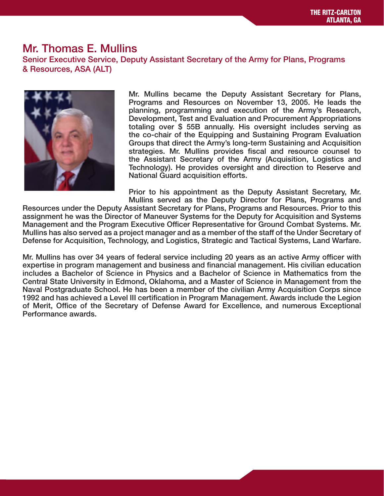# Mr. Thomas E. Mullins

Senior Executive Service, Deputy Assistant Secretary of the Army for Plans, Programs & Resources, ASA (ALT)



Mr. Mullins became the Deputy Assistant Secretary for Plans, Programs and Resources on November 13, 2005. He leads the planning, programming and execution of the Army's Research, Development, Test and Evaluation and Procurement Appropriations totaling over \$ 55B annually. His oversight includes serving as the co-chair of the Equipping and Sustaining Program Evaluation Groups that direct the Army's long-term Sustaining and Acquisition strategies. Mr. Mullins provides fiscal and resource counsel to the Assistant Secretary of the Army (Acquisition, Logistics and Technology). He provides oversight and direction to Reserve and National Guard acquisition efforts.

Prior to his appointment as the Deputy Assistant Secretary, Mr. Mullins served as the Deputy Director for Plans, Programs and

Resources under the Deputy Assistant Secretary for Plans, Programs and Resources. Prior to this assignment he was the Director of Maneuver Systems for the Deputy for Acquisition and Systems Management and the Program Executive Officer Representative for Ground Combat Systems. Mr. Mullins has also served as a project manager and as a member of the staff of the Under Secretary of Defense for Acquisition, Technology, and Logistics, Strategic and Tactical Systems, Land Warfare.

Mr. Mullins has over 34 years of federal service including 20 years as an active Army officer with expertise in program management and business and financial management. His civilian education includes a Bachelor of Science in Physics and a Bachelor of Science in Mathematics from the Central State University in Edmond, Oklahoma, and a Master of Science in Management from the Naval Postgraduate School. He has been a member of the civilian Army Acquisition Corps since 1992 and has achieved a Level III certification in Program Management. Awards include the Legion of Merit, Office of the Secretary of Defense Award for Excellence, and numerous Exceptional Performance awards.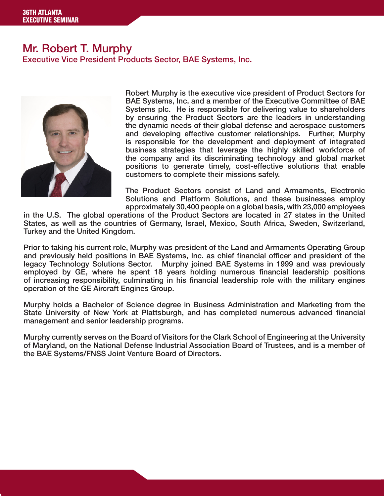#### Mr. Robert T. Murphy Executive Vice President Products Sector, BAE Systems, Inc.



Robert Murphy is the executive vice president of Product Sectors for BAE Systems, Inc. and a member of the Executive Committee of BAE Systems plc. He is responsible for delivering value to shareholders by ensuring the Product Sectors are the leaders in understanding the dynamic needs of their global defense and aerospace customers and developing effective customer relationships. Further, Murphy is responsible for the development and deployment of integrated business strategies that leverage the highly skilled workforce of the company and its discriminating technology and global market positions to generate timely, cost-effective solutions that enable customers to complete their missions safely.

The Product Sectors consist of Land and Armaments, Electronic Solutions and Platform Solutions, and these businesses employ approximately 30,400 people on a global basis, with 23,000 employees

in the U.S. The global operations of the Product Sectors are located in 27 states in the United States, as well as the countries of Germany, Israel, Mexico, South Africa, Sweden, Switzerland, Turkey and the United Kingdom.

Prior to taking his current role, Murphy was president of the Land and Armaments Operating Group and previously held positions in BAE Systems, Inc. as chief financial officer and president of the legacy Technology Solutions Sector. Murphy joined BAE Systems in 1999 and was previously employed by GE, where he spent 18 years holding numerous financial leadership positions of increasing responsibility, culminating in his financial leadership role with the military engines operation of the GE Aircraft Engines Group.

Murphy holds a Bachelor of Science degree in Business Administration and Marketing from the State University of New York at Plattsburgh, and has completed numerous advanced financial management and senior leadership programs.

Murphy currently serves on the Board of Visitors for the Clark School of Engineering at the University of Maryland, on the National Defense Industrial Association Board of Trustees, and is a member of the BAE Systems/FNSS Joint Venture Board of Directors.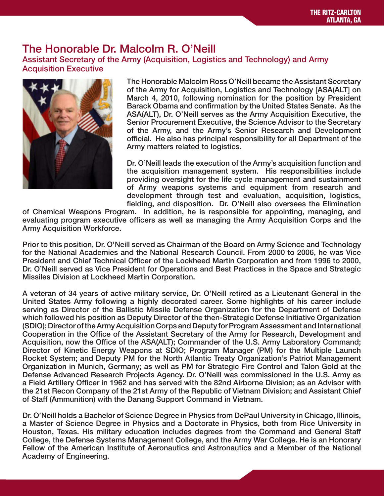# The Honorable Dr. Malcolm R. O'Neill

Assistant Secretary of the Army (Acquisition, Logistics and Technology) and Army Acquisition Executive



The Honorable Malcolm Ross O'Neill became the Assistant Secretary of the Army for Acquisition, Logistics and Technology [ASA(ALT] on March 4, 2010, following nomination for the position by President Barack Obama and confirmation by the United States Senate. As the ASA(ALT), Dr. O'Neill serves as the Army Acquisition Executive, the Senior Procurement Executive, the Science Advisor to the Secretary of the Army, and the Army's Senior Research and Development official. He also has principal responsibility for all Department of the Army matters related to logistics.

Dr. O'Neill leads the execution of the Army's acquisition function and the acquisition management system. His responsibilities include providing oversight for the life cycle management and sustainment of Army weapons systems and equipment from research and development through test and evaluation, acquisition, logistics, fielding, and disposition. Dr. O'Neill also oversees the Elimination

of Chemical Weapons Program. In addition, he is responsible for appointing, managing, and evaluating program executive officers as well as managing the Army Acquisition Corps and the Army Acquisition Workforce.

Prior to this position, Dr. O'Neill served as Chairman of the Board on Army Science and Technology for the National Academies and the National Research Council. From 2000 to 2006, he was Vice President and Chief Technical Officer of the Lockheed Martin Corporation and from 1996 to 2000, Dr. O'Neill served as Vice President for Operations and Best Practices in the Space and Strategic Missiles Division at Lockheed Martin Corporation.

A veteran of 34 years of active military service, Dr. O'Neill retired as a Lieutenant General in the United States Army following a highly decorated career. Some highlights of his career include serving as Director of the Ballistic Missile Defense Organization for the Department of Defense which followed his position as Deputy Director of the then-Strategic Defense Initiative Organization (SDIO); Director of the Army Acquisition Corps and Deputy for Program Assessment and International Cooperation in the Office of the Assistant Secretary of the Army for Research, Development and Acquisition, now the Office of the ASA(ALT); Commander of the U.S. Army Laboratory Command; Director of Kinetic Energy Weapons at SDIO; Program Manager (PM) for the Multiple Launch Rocket System; and Deputy PM for the North Atlantic Treaty Organization's Patriot Management Organization in Munich, Germany; as well as PM for Strategic Fire Control and Talon Gold at the Defense Advanced Research Projects Agency. Dr. O'Neill was commissioned in the U.S. Army as a Field Artillery Officer in 1962 and has served with the 82nd Airborne Division; as an Advisor with the 21st Recon Company of the 21st Army of the Republic of Vietnam Division; and Assistant Chief of Staff (Ammunition) with the Danang Support Command in Vietnam.

Dr. O'Neill holds a Bachelor of Science Degree in Physics from DePaul University in Chicago, Illinois, a Master of Science Degree in Physics and a Doctorate in Physics, both from Rice University in Houston, Texas. His military education includes degrees from the Command and General Staff College, the Defense Systems Management College, and the Army War College. He is an Honorary Fellow of the American Institute of Aeronautics and Astronautics and a Member of the National Academy of Engineering.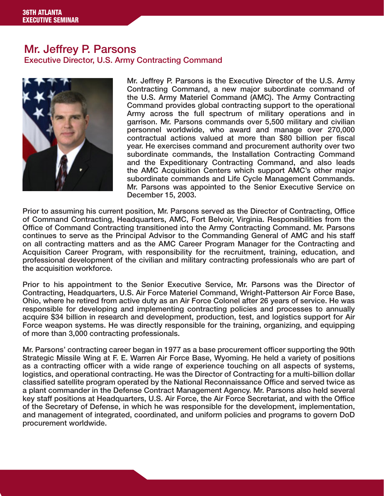#### Mr. Jeffrey P. Parsons Executive Director, U.S. Army Contracting Command



Mr. Jeffrey P. Parsons is the Executive Director of the U.S. Army Contracting Command, a new major subordinate command of the U.S. Army Materiel Command (AMC). The Army Contracting Command provides global contracting support to the operational Army across the full spectrum of military operations and in garrison. Mr. Parsons commands over 5,500 military and civilian personnel worldwide, who award and manage over 270,000 contractual actions valued at more than \$80 billion per fiscal year. He exercises command and procurement authority over two subordinate commands, the Installation Contracting Command and the Expeditionary Contracting Command, and also leads the AMC Acquisition Centers which support AMC's other major subordinate commands and Life Cycle Management Commands. Mr. Parsons was appointed to the Senior Executive Service on December 15, 2003.

Prior to assuming his current position, Mr. Parsons served as the Director of Contracting, Office of Command Contracting, Headquarters, AMC, Fort Belvoir, Virginia. Responsibilities from the Office of Command Contracting transitioned into the Army Contracting Command. Mr. Parsons continues to serve as the Principal Advisor to the Commanding General of AMC and his staff on all contracting matters and as the AMC Career Program Manager for the Contracting and Acquisition Career Program, with responsibility for the recruitment, training, education, and professional development of the civilian and military contracting professionals who are part of the acquisition workforce.

Prior to his appointment to the Senior Executive Service, Mr. Parsons was the Director of Contracting, Headquarters, U.S. Air Force Materiel Command, Wright-Patterson Air Force Base, Ohio, where he retired from active duty as an Air Force Colonel after 26 years of service. He was responsible for developing and implementing contracting policies and processes to annually acquire \$34 billion in research and development, production, test, and logistics support for Air Force weapon systems. He was directly responsible for the training, organizing, and equipping of more than 3,000 contracting professionals.

Mr. Parsons' contracting career began in 1977 as a base procurement officer supporting the 90th Strategic Missile Wing at F. E. Warren Air Force Base, Wyoming. He held a variety of positions as a contracting officer with a wide range of experience touching on all aspects of systems, logistics, and operational contracting. He was the Director of Contracting for a multi-billion dollar classified satellite program operated by the National Reconnaissance Office and served twice as a plant commander in the Defense Contract Management Agency. Mr. Parsons also held several key staff positions at Headquarters, U.S. Air Force, the Air Force Secretariat, and with the Office of the Secretary of Defense, in which he was responsible for the development, implementation, and management of integrated, coordinated, and uniform policies and programs to govern DoD procurement worldwide.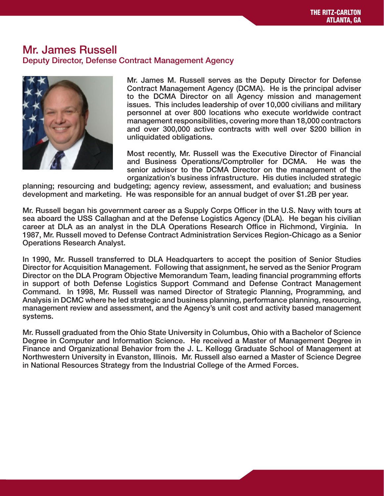#### Mr. James Russell Deputy Director, Defense Contract Management Agency



Mr. James M. Russell serves as the Deputy Director for Defense Contract Management Agency (DCMA). He is the principal adviser to the DCMA Director on all Agency mission and management issues. This includes leadership of over 10,000 civilians and military personnel at over 800 locations who execute worldwide contract management responsibilities, covering more than 18,000 contractors and over 300,000 active contracts with well over \$200 billion in unliquidated obligations.

Most recently, Mr. Russell was the Executive Director of Financial and Business Operations/Comptroller for DCMA. He was the senior advisor to the DCMA Director on the management of the organization's business infrastructure. His duties included strategic

planning; resourcing and budgeting; agency review, assessment, and evaluation; and business development and marketing. He was responsible for an annual budget of over \$1.2B per year.

Mr. Russell began his government career as a Supply Corps Officer in the U.S. Navy with tours at sea aboard the USS Callaghan and at the Defense Logistics Agency (DLA). He began his civilian career at DLA as an analyst in the DLA Operations Research Office in Richmond, Virginia. In 1987, Mr. Russell moved to Defense Contract Administration Services Region-Chicago as a Senior Operations Research Analyst.

In 1990, Mr. Russell transferred to DLA Headquarters to accept the position of Senior Studies Director for Acquisition Management. Following that assignment, he served as the Senior Program Director on the DLA Program Objective Memorandum Team, leading financial programming efforts in support of both Defense Logistics Support Command and Defense Contract Management Command. In 1998, Mr. Russell was named Director of Strategic Planning, Programming, and Analysis in DCMC where he led strategic and business planning, performance planning, resourcing, management review and assessment, and the Agency's unit cost and activity based management systems.

Mr. Russell graduated from the Ohio State University in Columbus, Ohio with a Bachelor of Science Degree in Computer and Information Science. He received a Master of Management Degree in Finance and Organizational Behavior from the J. L. Kellogg Graduate School of Management at Northwestern University in Evanston, Illinois. Mr. Russell also earned a Master of Science Degree in National Resources Strategy from the Industrial College of the Armed Forces.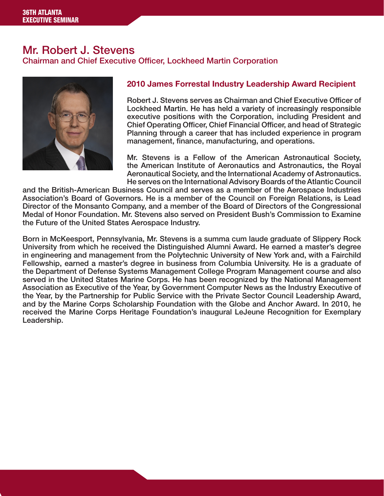## Mr. Robert J. Stevens

Chairman and Chief Executive Officer, Lockheed Martin Corporation



#### 2010 James Forrestal Industry Leadership Award Recipient

Robert J. Stevens serves as Chairman and Chief Executive Officer of Lockheed Martin. He has held a variety of increasingly responsible executive positions with the Corporation, including President and Chief Operating Officer, Chief Financial Officer, and head of Strategic Planning through a career that has included experience in program management, finance, manufacturing, and operations.

Mr. Stevens is a Fellow of the American Astronautical Society, the American Institute of Aeronautics and Astronautics, the Royal Aeronautical Society, and the International Academy of Astronautics. He serves on the International Advisory Boards of the Atlantic Council

and the British-American Business Council and serves as a member of the Aerospace Industries Association's Board of Governors. He is a member of the Council on Foreign Relations, is Lead Director of the Monsanto Company, and a member of the Board of Directors of the Congressional Medal of Honor Foundation. Mr. Stevens also served on President Bush's Commission to Examine the Future of the United States Aerospace Industry.

Born in McKeesport, Pennsylvania, Mr. Stevens is a summa cum laude graduate of Slippery Rock University from which he received the Distinguished Alumni Award. He earned a master's degree in engineering and management from the Polytechnic University of New York and, with a Fairchild Fellowship, earned a master's degree in business from Columbia University. He is a graduate of the Department of Defense Systems Management College Program Management course and also served in the United States Marine Corps. He has been recognized by the National Management Association as Executive of the Year, by Government Computer News as the Industry Executive of the Year, by the Partnership for Public Service with the Private Sector Council Leadership Award, and by the Marine Corps Scholarship Foundation with the Globe and Anchor Award. In 2010, he received the Marine Corps Heritage Foundation's inaugural LeJeune Recognition for Exemplary Leadership.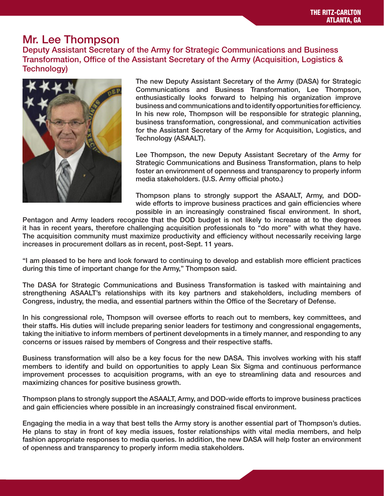## Mr. Lee Thompson

Deputy Assistant Secretary of the Army for Strategic Communications and Business Transformation, Office of the Assistant Secretary of the Army (Acquisition, Logistics & Technology)



The new Deputy Assistant Secretary of the Army (DASA) for Strategic Communications and Business Transformation, Lee Thompson, enthusiastically looks forward to helping his organization improve business and communications and to identify opportunities for efficiency. In his new role, Thompson will be responsible for strategic planning, business transformation, congressional, and communication activities for the Assistant Secretary of the Army for Acquisition, Logistics, and Technology (ASAALT).

Lee Thompson, the new Deputy Assistant Secretary of the Army for Strategic Communications and Business Transformation, plans to help foster an environment of openness and transparency to properly inform media stakeholders. (U.S. Army official photo.)

Thompson plans to strongly support the ASAALT, Army, and DODwide efforts to improve business practices and gain efficiencies where possible in an increasingly constrained fiscal environment. In short,

Pentagon and Army leaders recognize that the DOD budget is not likely to increase at to the degrees it has in recent years, therefore challenging acquisition professionals to "do more" with what they have. The acquisition community must maximize productivity and efficiency without necessarily receiving large increases in procurement dollars as in recent, post-Sept. 11 years.

"I am pleased to be here and look forward to continuing to develop and establish more efficient practices during this time of important change for the Army," Thompson said.

The DASA for Strategic Communications and Business Transformation is tasked with maintaining and strengthening ASAALT's relationships with its key partners and stakeholders, including members of Congress, industry, the media, and essential partners within the Office of the Secretary of Defense.

In his congressional role, Thompson will oversee efforts to reach out to members, key committees, and their staffs. His duties will include preparing senior leaders for testimony and congressional engagements, taking the initiative to inform members of pertinent developments in a timely manner, and responding to any concerns or issues raised by members of Congress and their respective staffs.

Business transformation will also be a key focus for the new DASA. This involves working with his staff members to identify and build on opportunities to apply Lean Six Sigma and continuous performance improvement processes to acquisition programs, with an eye to streamlining data and resources and maximizing chances for positive business growth.

Thompson plans to strongly support the ASAALT, Army, and DOD-wide efforts to improve business practices and gain efficiencies where possible in an increasingly constrained fiscal environment.

Engaging the media in a way that best tells the Army story is another essential part of Thompson's duties. He plans to stay in front of key media issues, foster relationships with vital media members, and help fashion appropriate responses to media queries. In addition, the new DASA will help foster an environment of openness and transparency to properly inform media stakeholders.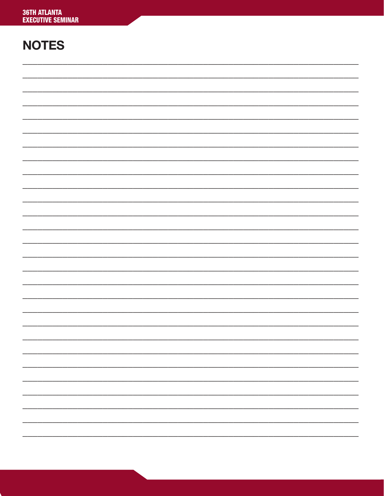# **NOTES**

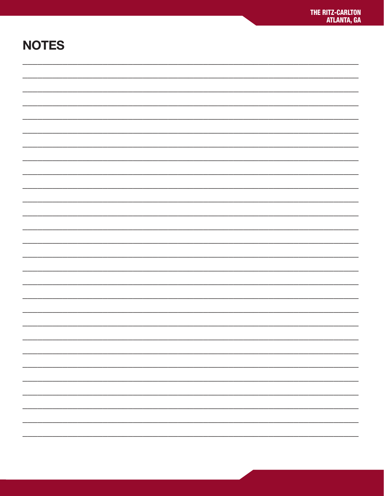# **NOTES**